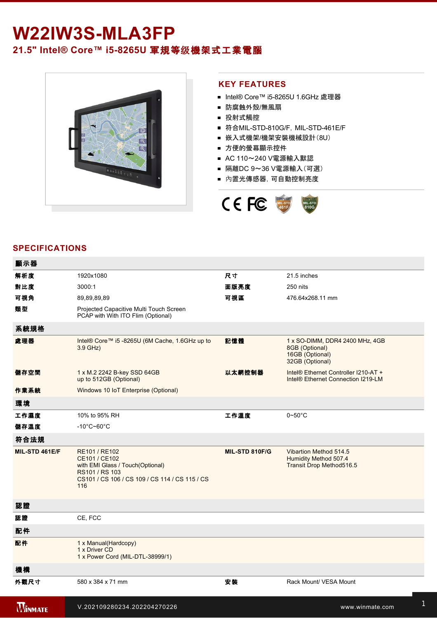## W22IW3S-MLA3FP **21.5" Intel® Core™ i58265U** 軍規等级機架式工業電腦



## **KEY FEATURES**

- Intel® Core™ i5-8265U 1.6GHz 處理器
- 防腐蝕外殼/無風扇
- 投射式觸控
- 符合MIL-STD-810G/F, MIL-STD-461E/F
- 嵌入式機架/機架安裝機械設計(8U)
- 方便的螢幕顯示控件
- AC 110~240 V電源輸入默認
- 隔離DC 9~36 V電源輸入(可選)
- 內置光傳感器,可自動控制亮度



## **SPECIFICATIONS**

| 顯示器            |                                                                                                                                               |                |                                                                                         |
|----------------|-----------------------------------------------------------------------------------------------------------------------------------------------|----------------|-----------------------------------------------------------------------------------------|
| 解析度            | 1920x1080                                                                                                                                     | 尺寸             | 21.5 inches                                                                             |
| 對比度            | 3000:1                                                                                                                                        | 面版亮度           | 250 nits                                                                                |
| 可視角            | 89,89,89,89                                                                                                                                   | 可視區            | 476.64x268.11 mm                                                                        |
| 類型             | Projected Capacitive Multi Touch Screen<br>PCAP with With ITO Flim (Optional)                                                                 |                |                                                                                         |
| 系統規格           |                                                                                                                                               |                |                                                                                         |
| 處理器            | Intel® Core™ i5 -8265U (6M Cache, 1.6GHz up to<br>3.9 GHz)                                                                                    | 記憶體            | 1 x SO-DIMM, DDR4 2400 MHz, 4GB<br>8GB (Optional)<br>16GB (Optional)<br>32GB (Optional) |
| 儲存空間           | 1 x M.2 2242 B-key SSD 64GB<br>up to 512GB (Optional)                                                                                         | 以太網控制器         | Intel® Ethernet Controller I210-AT +<br>Intel <sup>®</sup> Ethernet Connection I219-LM  |
| 作業系統           | Windows 10 IoT Enterprise (Optional)                                                                                                          |                |                                                                                         |
| 環境             |                                                                                                                                               |                |                                                                                         |
| 工作濕度           | 10% to 95% RH                                                                                                                                 | 工作溫度           | $0\nthicksim50^{\circ}$ C                                                               |
| 儲存溫度           | $-10^{\circ}$ C~60 $^{\circ}$ C                                                                                                               |                |                                                                                         |
| 符合法規           |                                                                                                                                               |                |                                                                                         |
| MIL-STD 461E/F | RE101 / RE102<br>CE101 / CE102<br>with EMI Glass / Touch(Optional)<br>RS101 / RS 103<br>CS101 / CS 106 / CS 109 / CS 114 / CS 115 / CS<br>116 | MIL-STD 810F/G | Vibartion Method 514.5<br>Humidity Method 507.4<br>Transit Drop Method516.5             |
| 認證             |                                                                                                                                               |                |                                                                                         |
| 認證             | CE, FCC                                                                                                                                       |                |                                                                                         |
| 配件             |                                                                                                                                               |                |                                                                                         |
| 配件             | 1 x Manual(Hardcopy)<br>1 x Driver CD<br>1 x Power Cord (MIL-DTL-38999/1)                                                                     |                |                                                                                         |
| 機構             |                                                                                                                                               |                |                                                                                         |
| 外觀尺寸           | 580 x 384 x 71 mm                                                                                                                             | 安装             | Rack Mount/ VESA Mount                                                                  |
| <b>WINMATE</b> | V.202109280234.202204270226                                                                                                                   |                | www.winmate.com                                                                         |

USB<del>)2 x 2 x 2 complete 2 x 2 complete 2 x 2 complete 2 complete 2 complete 2 complete 2 complete 2 complete 2 co</del>